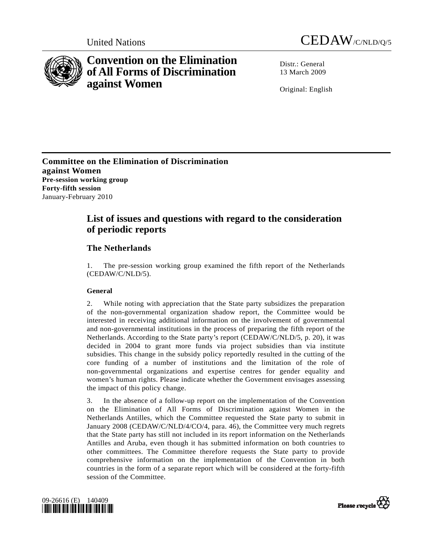



# **Convention on the Elimination of All Forms of Discrimination against Women**

Distr · General 13 March 2009

Original: English

**Committee on the Elimination of Discrimination against Women Pre-session working group Forty-fifth session** January-February 2010

## **List of issues and questions with regard to the consideration of periodic reports**

## **The Netherlands**

1. The pre-session working group examined the fifth report of the Netherlands (CEDAW/C/NLD/5).

## **General**

2. While noting with appreciation that the State party subsidizes the preparation of the non-governmental organization shadow report, the Committee would be interested in receiving additional information on the involvement of governmental and non-governmental institutions in the process of preparing the fifth report of the Netherlands. According to the State party's report (CEDAW/C/NLD/5, p. 20), it was decided in 2004 to grant more funds via project subsidies than via institute subsidies. This change in the subsidy policy reportedly resulted in the cutting of the core funding of a number of institutions and the limitation of the role of non-governmental organizations and expertise centres for gender equality and women's human rights. Please indicate whether the Government envisages assessing the impact of this policy change.

3. In the absence of a follow-up report on the implementation of the Convention on the Elimination of All Forms of Discrimination against Women in the Netherlands Antilles, which the Committee requested the State party to submit in January 2008 (CEDAW/C/NLD/4/CO/4, para. 46), the Committee very much regrets that the State party has still not included in its report information on the Netherlands Antilles and Aruba, even though it has submitted information on both countries to other committees. The Committee therefore requests the State party to provide comprehensive information on the implementation of the Convention in both countries in the form of a separate report which will be considered at the forty-fifth session of the Committee.



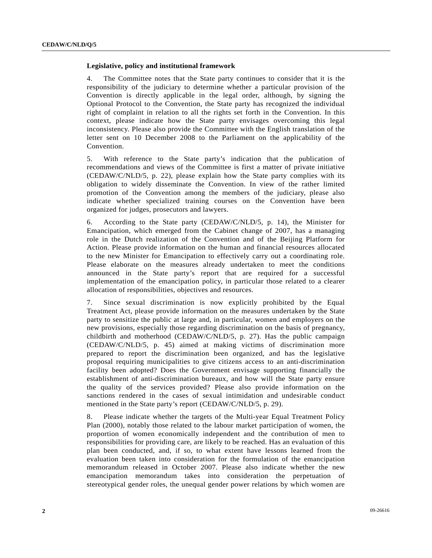#### **Legislative, policy and institutional framework**

4. The Committee notes that the State party continues to consider that it is the responsibility of the judiciary to determine whether a particular provision of the Convention is directly applicable in the legal order, although, by signing the Optional Protocol to the Convention, the State party has recognized the individual right of complaint in relation to all the rights set forth in the Convention. In this context, please indicate how the State party envisages overcoming this legal inconsistency. Please also provide the Committee with the English translation of the letter sent on 10 December 2008 to the Parliament on the applicability of the Convention.

5. With reference to the State party's indication that the publication of recommendations and views of the Committee is first a matter of private initiative (CEDAW/C/NLD/5, p. 22), please explain how the State party complies with its obligation to widely disseminate the Convention. In view of the rather limited promotion of the Convention among the members of the judiciary, please also indicate whether specialized training courses on the Convention have been organized for judges, prosecutors and lawyers.

6. According to the State party (CEDAW/C/NLD/5, p. 14), the Minister for Emancipation, which emerged from the Cabinet change of 2007, has a managing role in the Dutch realization of the Convention and of the Beijing Platform for Action. Please provide information on the human and financial resources allocated to the new Minister for Emancipation to effectively carry out a coordinating role. Please elaborate on the measures already undertaken to meet the conditions announced in the State party's report that are required for a successful implementation of the emancipation policy, in particular those related to a clearer allocation of responsibilities, objectives and resources.

7. Since sexual discrimination is now explicitly prohibited by the Equal Treatment Act, please provide information on the measures undertaken by the State party to sensitize the public at large and, in particular, women and employers on the new provisions, especially those regarding discrimination on the basis of pregnancy, childbirth and motherhood (CEDAW/C/NLD/5, p. 27). Has the public campaign (CEDAW/C/NLD/5, p. 45) aimed at making victims of discrimination more prepared to report the discrimination been organized, and has the legislative proposal requiring municipalities to give citizens access to an anti-discrimination facility been adopted? Does the Government envisage supporting financially the establishment of anti-discrimination bureaux, and how will the State party ensure the quality of the services provided? Please also provide information on the sanctions rendered in the cases of sexual intimidation and undesirable conduct mentioned in the State party's report (CEDAW/C/NLD/5, p. 29).

8. Please indicate whether the targets of the Multi-year Equal Treatment Policy Plan (2000), notably those related to the labour market participation of women, the proportion of women economically independent and the contribution of men to responsibilities for providing care, are likely to be reached. Has an evaluation of this plan been conducted, and, if so, to what extent have lessons learned from the evaluation been taken into consideration for the formulation of the emancipation memorandum released in October 2007. Please also indicate whether the new emancipation memorandum takes into consideration the perpetuation of stereotypical gender roles, the unequal gender power relations by which women are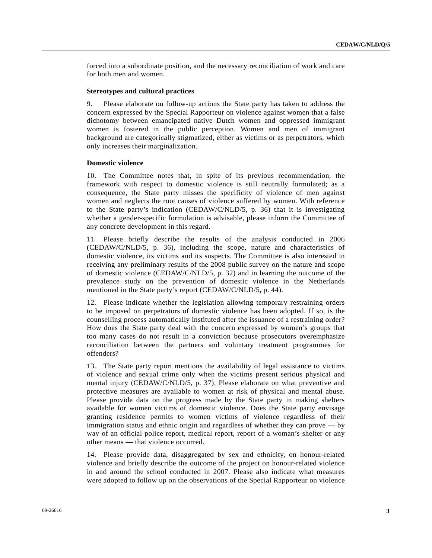forced into a subordinate position, and the necessary reconciliation of work and care for both men and women.

#### **Stereotypes and cultural practices**

9. Please elaborate on follow-up actions the State party has taken to address the concern expressed by the Special Rapporteur on violence against women that a false dichotomy between emancipated native Dutch women and oppressed immigrant women is fostered in the public perception. Women and men of immigrant background are categorically stigmatized, either as victims or as perpetrators, which only increases their marginalization.

#### **Domestic violence**

10. The Committee notes that, in spite of its previous recommendation, the framework with respect to domestic violence is still neutrally formulated; as a consequence, the State party misses the specificity of violence of men against women and neglects the root causes of violence suffered by women. With reference to the State party's indication (CEDAW/C/NLD/5, p. 36) that it is investigating whether a gender-specific formulation is advisable, please inform the Committee of any concrete development in this regard.

11. Please briefly describe the results of the analysis conducted in 2006 (CEDAW/C/NLD/5, p. 36), including the scope, nature and characteristics of domestic violence, its victims and its suspects. The Committee is also interested in receiving any preliminary results of the 2008 public survey on the nature and scope of domestic violence (CEDAW/C/NLD/5, p. 32) and in learning the outcome of the prevalence study on the prevention of domestic violence in the Netherlands mentioned in the State party's report (CEDAW/C/NLD/5, p. 44).

12. Please indicate whether the legislation allowing temporary restraining orders to be imposed on perpetrators of domestic violence has been adopted. If so, is the counselling process automatically instituted after the issuance of a restraining order? How does the State party deal with the concern expressed by women's groups that too many cases do not result in a conviction because prosecutors overemphasize reconciliation between the partners and voluntary treatment programmes for offenders?

13. The State party report mentions the availability of legal assistance to victims of violence and sexual crime only when the victims present serious physical and mental injury (CEDAW/C/NLD/5, p. 37). Please elaborate on what preventive and protective measures are available to women at risk of physical and mental abuse. Please provide data on the progress made by the State party in making shelters available for women victims of domestic violence. Does the State party envisage granting residence permits to women victims of violence regardless of their immigration status and ethnic origin and regardless of whether they can prove — by way of an official police report, medical report, report of a woman's shelter or any other means — that violence occurred.

14. Please provide data, disaggregated by sex and ethnicity, on honour-related violence and briefly describe the outcome of the project on honour-related violence in and around the school conducted in 2007. Please also indicate what measures were adopted to follow up on the observations of the Special Rapporteur on violence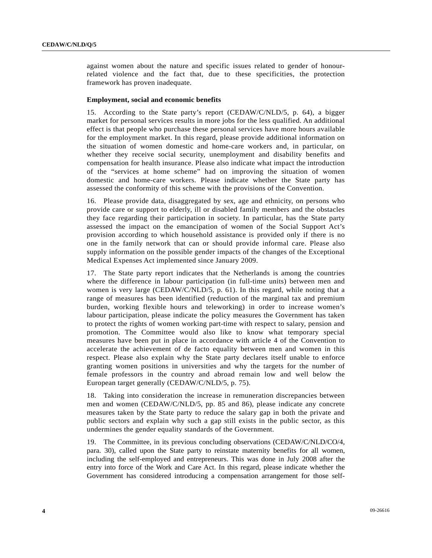against women about the nature and specific issues related to gender of honourrelated violence and the fact that, due to these specificities, the protection framework has proven inadequate.

#### **Employment, social and economic benefits**

15. According to the State party's report (CEDAW/C/NLD/5, p. 64), a bigger market for personal services results in more jobs for the less qualified. An additional effect is that people who purchase these personal services have more hours available for the employment market. In this regard, please provide additional information on the situation of women domestic and home-care workers and, in particular, on whether they receive social security, unemployment and disability benefits and compensation for health insurance. Please also indicate what impact the introduction of the "services at home scheme" had on improving the situation of women domestic and home-care workers. Please indicate whether the State party has assessed the conformity of this scheme with the provisions of the Convention.

16. Please provide data, disaggregated by sex, age and ethnicity, on persons who provide care or support to elderly, ill or disabled family members and the obstacles they face regarding their participation in society. In particular, has the State party assessed the impact on the emancipation of women of the Social Support Act's provision according to which household assistance is provided only if there is no one in the family network that can or should provide informal care. Please also supply information on the possible gender impacts of the changes of the Exceptional Medical Expenses Act implemented since January 2009.

17. The State party report indicates that the Netherlands is among the countries where the difference in labour participation (in full-time units) between men and women is very large (CEDAW/C/NLD/5, p. 61). In this regard, while noting that a range of measures has been identified (reduction of the marginal tax and premium burden, working flexible hours and teleworking) in order to increase women's labour participation, please indicate the policy measures the Government has taken to protect the rights of women working part-time with respect to salary, pension and promotion. The Committee would also like to know what temporary special measures have been put in place in accordance with article 4 of the Convention to accelerate the achievement of de facto equality between men and women in this respect. Please also explain why the State party declares itself unable to enforce granting women positions in universities and why the targets for the number of female professors in the country and abroad remain low and well below the European target generally (CEDAW/C/NLD/5, p. 75).

18. Taking into consideration the increase in remuneration discrepancies between men and women (CEDAW/C/NLD/5, pp. 85 and 86), please indicate any concrete measures taken by the State party to reduce the salary gap in both the private and public sectors and explain why such a gap still exists in the public sector, as this undermines the gender equality standards of the Government.

19. The Committee, in its previous concluding observations (CEDAW/C/NLD/CO/4, para. 30), called upon the State party to reinstate maternity benefits for all women, including the self-employed and entrepreneurs. This was done in July 2008 after the entry into force of the Work and Care Act. In this regard, please indicate whether the Government has considered introducing a compensation arrangement for those self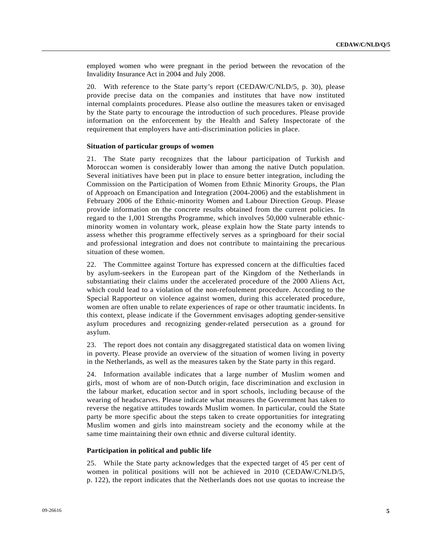employed women who were pregnant in the period between the revocation of the Invalidity Insurance Act in 2004 and July 2008.

20. With reference to the State party's report (CEDAW/C/NLD/5, p. 30), please provide precise data on the companies and institutes that have now instituted internal complaints procedures. Please also outline the measures taken or envisaged by the State party to encourage the introduction of such procedures. Please provide information on the enforcement by the Health and Safety Inspectorate of the requirement that employers have anti-discrimination policies in place.

#### **Situation of particular groups of women**

21. The State party recognizes that the labour participation of Turkish and Moroccan women is considerably lower than among the native Dutch population. Several initiatives have been put in place to ensure better integration, including the Commission on the Participation of Women from Ethnic Minority Groups, the Plan of Approach on Emancipation and Integration (2004-2006) and the establishment in February 2006 of the Ethnic-minority Women and Labour Direction Group. Please provide information on the concrete results obtained from the current policies. In regard to the 1,001 Strengths Programme, which involves 50,000 vulnerable ethnicminority women in voluntary work, please explain how the State party intends to assess whether this programme effectively serves as a springboard for their social and professional integration and does not contribute to maintaining the precarious situation of these women.

22. The Committee against Torture has expressed concern at the difficulties faced by asylum-seekers in the European part of the Kingdom of the Netherlands in substantiating their claims under the accelerated procedure of the 2000 Aliens Act, which could lead to a violation of the non-refoulement procedure. According to the Special Rapporteur on violence against women, during this accelerated procedure, women are often unable to relate experiences of rape or other traumatic incidents. In this context, please indicate if the Government envisages adopting gender-sensitive asylum procedures and recognizing gender-related persecution as a ground for asylum.

23. The report does not contain any disaggregated statistical data on women living in poverty. Please provide an overview of the situation of women living in poverty in the Netherlands, as well as the measures taken by the State party in this regard.

24. Information available indicates that a large number of Muslim women and girls, most of whom are of non-Dutch origin, face discrimination and exclusion in the labour market, education sector and in sport schools, including because of the wearing of headscarves. Please indicate what measures the Government has taken to reverse the negative attitudes towards Muslim women. In particular, could the State party be more specific about the steps taken to create opportunities for integrating Muslim women and girls into mainstream society and the economy while at the same time maintaining their own ethnic and diverse cultural identity.

#### **Participation in political and public life**

25. While the State party acknowledges that the expected target of 45 per cent of women in political positions will not be achieved in 2010 (CEDAW/C/NLD/5, p. 122), the report indicates that the Netherlands does not use quotas to increase the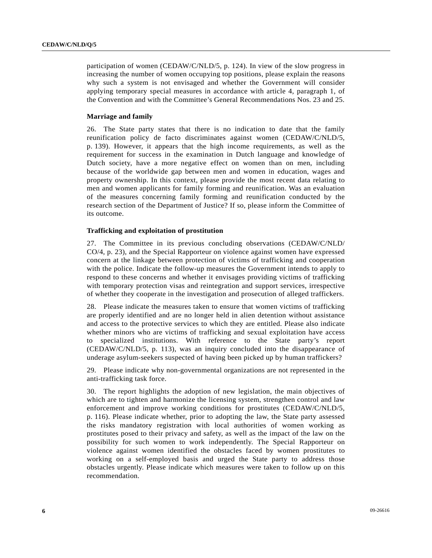participation of women (CEDAW/C/NLD/5, p. 124). In view of the slow progress in increasing the number of women occupying top positions, please explain the reasons why such a system is not envisaged and whether the Government will consider applying temporary special measures in accordance with article 4, paragraph 1, of the Convention and with the Committee's General Recommendations Nos. 23 and 25.

#### **Marriage and family**

26. The State party states that there is no indication to date that the family reunification policy de facto discriminates against women (CEDAW/C/NLD/5, p. 139). However, it appears that the high income requirements, as well as the requirement for success in the examination in Dutch language and knowledge of Dutch society, have a more negative effect on women than on men, including because of the worldwide gap between men and women in education, wages and property ownership. In this context, please provide the most recent data relating to men and women applicants for family forming and reunification. Was an evaluation of the measures concerning family forming and reunification conducted by the research section of the Department of Justice? If so, please inform the Committee of its outcome.

#### **Trafficking and exploitation of prostitution**

27. The Committee in its previous concluding observations (CEDAW/C/NLD/ CO/4, p. 23), and the Special Rapporteur on violence against women have expressed concern at the linkage between protection of victims of trafficking and cooperation with the police. Indicate the follow-up measures the Government intends to apply to respond to these concerns and whether it envisages providing victims of trafficking with temporary protection visas and reintegration and support services, irrespective of whether they cooperate in the investigation and prosecution of alleged traffickers.

28. Please indicate the measures taken to ensure that women victims of trafficking are properly identified and are no longer held in alien detention without assistance and access to the protective services to which they are entitled. Please also indicate whether minors who are victims of trafficking and sexual exploitation have access to specialized institutions. With reference to the State party's report (CEDAW/C/NLD/5, p. 113), was an inquiry concluded into the disappearance of underage asylum-seekers suspected of having been picked up by human traffickers?

29. Please indicate why non-governmental organizations are not represented in the anti-trafficking task force.

30. The report highlights the adoption of new legislation, the main objectives of which are to tighten and harmonize the licensing system, strengthen control and law enforcement and improve working conditions for prostitutes (CEDAW/C/NLD/5, p. 116). Please indicate whether, prior to adopting the law, the State party assessed the risks mandatory registration with local authorities of women working as prostitutes posed to their privacy and safety, as well as the impact of the law on the possibility for such women to work independently. The Special Rapporteur on violence against women identified the obstacles faced by women prostitutes to working on a self-employed basis and urged the State party to address those obstacles urgently. Please indicate which measures were taken to follow up on this recommendation.